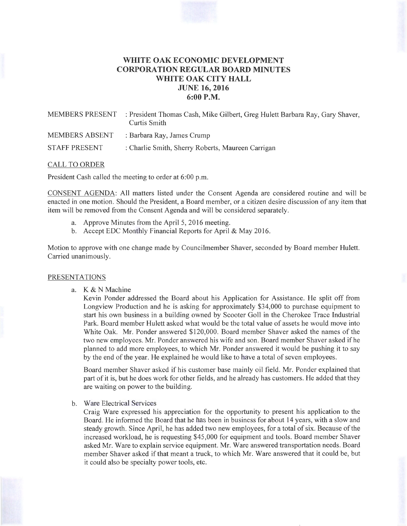# **WHITE OAK ECONOMIC DEVELOPMENT CORPORATION REGULAR BOARD MINUTES WHITE OAK CITY HALL JUNE 16, 2016 6:00P.M.**

| <b>MEMBERS PRESENT</b> | : President Thomas Cash, Mike Gilbert, Greg Hulett Barbara Ray, Gary Shaver,<br>Curtis Smith |
|------------------------|----------------------------------------------------------------------------------------------|
| <b>MEMBERS ABSENT</b>  | : Barbara Ray, James Crump                                                                   |
| <b>STAFF PRESENT</b>   | : Charlie Smith, Sherry Roberts, Maureen Carrigan                                            |

### CALL TO ORDER

President Cash called the meeting to order at 6:00 p.m.

CONSENT AGENDA: All matters listed under the Consent Agenda are considered routine and will be enacted in one motion. Should the President, a Board member, or a citizen desire discussion of any item that item will be removed from the Consent Agenda and will be considered separately.

- a. Approve Minutes from the April 5, 2016 meeting.
- b. Accept EDC Monthly Financial Reports for April & May 2016.

Motion to approve with one change made by Councilmember Shaver, seconded by Board member Hulett. Carried unanimously.

#### PRESENTATIONS

a. K & N Machine

Kevin Ponder addressed the Board about his Application for Assistance. He split off from Longview Production and he is asking for approximately \$34,000 to purchase equipment to start his own business in a building owned by Scooter Goll in the Cherokee Trace Industrial Park. Board member Hulett asked what would be the total value of assets he would move into White Oak. Mr. Ponder answered \$120,000. Board member Shaver asked the names of the two new employees. Mr. Ponder answered his wife and son. Board member Shaver asked if he planned to add more employees, to which Mr. Ponder answered it would be pushing it to say by the end of the year. He explained he would like to have a total of seven employees.

Board member Shaver asked if his customer base mainly oil field . Mr. Ponder explained that part of it is, but he does work for other fields, and he already has customers. He added that they are waiting on power to the building.

b. Ware Electrical Services

Craig Ware expressed his appreciation for the opportunity to present his application to the Board. He informed the Board that he has been in business for about 14 years, with a slow and steady growth. Since April, he has added two new employees, for a total of six. Because of the increased workload, he is requesting \$45,000 for equipment and tools. Board member Shaver asked Mr. Ware to explain service equipment. Mr. Ware answered transportation needs. Board member Shaver asked if that meant a truck, to which Mr. Ware answered that it could be, but it could also be specialty power tools, etc.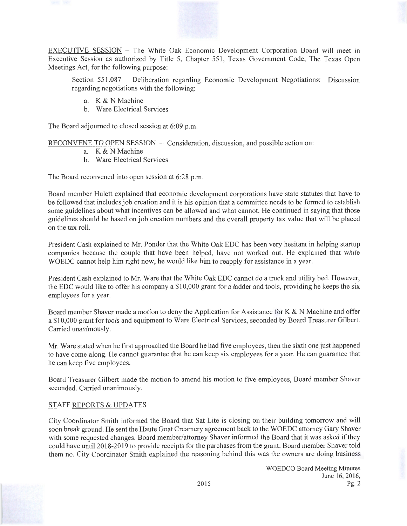EXECUTIVE SESSION - The White Oak Economic Development Corporation Board will meet in Executive Session as authorized by Title 5, Chapter 551, Texas Government Code, The Texas Open Meetings Act, for the following purpose:

Section 551.087 - Deliberation regarding Economic Development Negotiations: Discussion regarding negotiations with the following:

- a. K & N Machine
- b. Ware Electrical Services

The Board adjourned to closed session at 6:09 p.m.

RECONVENE TO OPEN SESSION - Consideration, discussion, and possible action on:

- a. K & N Machine
- b. Ware Electrical Services

The Board reconvened into open session at 6:28 p.m.

Board member Hulett explained that economic development corporations have state statutes that have to be followed that includes job creation and it is his opinion that a committee needs to be formed to establish some guidelines about what incentives can be allowed and what cannot. He continued in saying that those guidelines should be based on job creation numbers and the overall property tax value that will be placed on the tax roll.

President Cash explained to Mr. Ponder that the White Oak EDC has been very hesitant in helping startup companies because the couple that have been helped, have not worked out. He explained that while WOEDC cannot help him right now, he would like him to reapply for assistance in a year.

President Cash explained to Mr. Ware that the White Oak EDC cannot do a truck and utility bed. However, the EDC would like to offer his company a \$10,000 grant for a ladder and tools, providing he keeps the six employees for a year.

Board member Shaver made a motion to deny the Application for Assistance for K  $\&$  N Machine and offer a \$10,000 grant for tools and equipment to Ware Electrical Services, seconded by Board Treasurer Gilbert. Carried unanimously.

Mr. Ware stated when he first approached the Board he had five employees, then the sixth one just happened to have come along. He cannot guarantee that he can keep six employees for a year. He can guarantee that he can keep ftve employees.

Board Treasurer Gilbert made the motion to amend his motion to five employees, Board member Shaver seconded. Carried unanimously.

## STAFF REPORTS & UPDATES

City Coordinator Smith informed the Board that Sat Lite is closing on their building tomorrow and will soon break ground. He sent the Haute Goat Creamery agreement back to the WOEDC attorney Gary Shaver with some requested changes. Board member/attorney Shaver informed the Board that it was asked if they could have until 2018-2019 to provide receipts for the purchases from the grant. Board member Shaver told them no. City Coordinator Smith explained the reasoning behind this was the owners are doing business